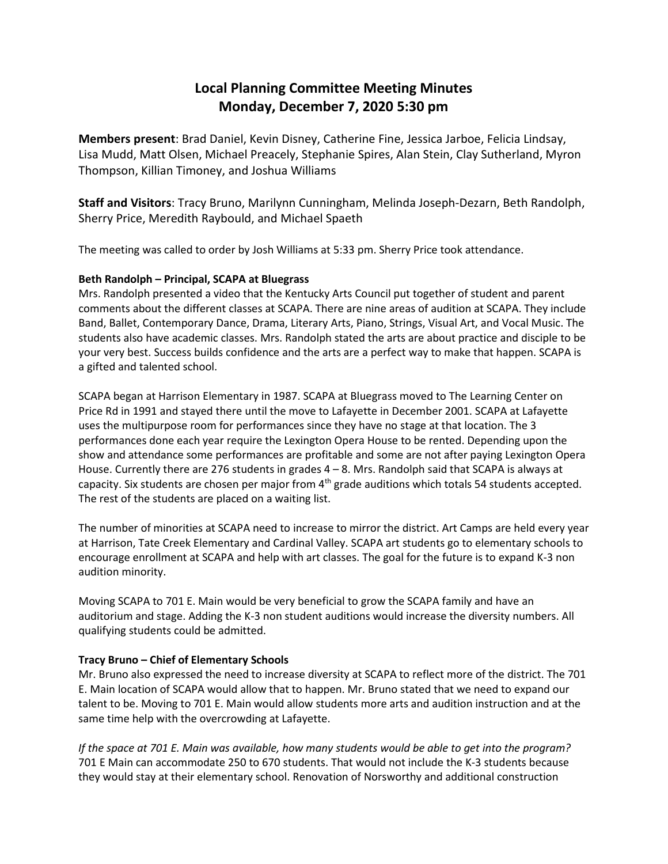## **Local Planning Committee Meeting Minutes Monday, December 7, 2020 5:30 pm**

**Members present**: Brad Daniel, Kevin Disney, Catherine Fine, Jessica Jarboe, Felicia Lindsay, Lisa Mudd, Matt Olsen, Michael Preacely, Stephanie Spires, Alan Stein, Clay Sutherland, Myron Thompson, Killian Timoney, and Joshua Williams

**Staff and Visitors**: Tracy Bruno, Marilynn Cunningham, Melinda Joseph-Dezarn, Beth Randolph, Sherry Price, Meredith Raybould, and Michael Spaeth

The meeting was called to order by Josh Williams at 5:33 pm. Sherry Price took attendance.

## **Beth Randolph – Principal, SCAPA at Bluegrass**

Mrs. Randolph presented a video that the Kentucky Arts Council put together of student and parent comments about the different classes at SCAPA. There are nine areas of audition at SCAPA. They include Band, Ballet, Contemporary Dance, Drama, Literary Arts, Piano, Strings, Visual Art, and Vocal Music. The students also have academic classes. Mrs. Randolph stated the arts are about practice and disciple to be your very best. Success builds confidence and the arts are a perfect way to make that happen. SCAPA is a gifted and talented school.

SCAPA began at Harrison Elementary in 1987. SCAPA at Bluegrass moved to The Learning Center on Price Rd in 1991 and stayed there until the move to Lafayette in December 2001. SCAPA at Lafayette uses the multipurpose room for performances since they have no stage at that location. The 3 performances done each year require the Lexington Opera House to be rented. Depending upon the show and attendance some performances are profitable and some are not after paying Lexington Opera House. Currently there are 276 students in grades 4 – 8. Mrs. Randolph said that SCAPA is always at capacity. Six students are chosen per major from  $4<sup>th</sup>$  grade auditions which totals 54 students accepted. The rest of the students are placed on a waiting list.

The number of minorities at SCAPA need to increase to mirror the district. Art Camps are held every year at Harrison, Tate Creek Elementary and Cardinal Valley. SCAPA art students go to elementary schools to encourage enrollment at SCAPA and help with art classes. The goal for the future is to expand K-3 non audition minority.

Moving SCAPA to 701 E. Main would be very beneficial to grow the SCAPA family and have an auditorium and stage. Adding the K-3 non student auditions would increase the diversity numbers. All qualifying students could be admitted.

## **Tracy Bruno – Chief of Elementary Schools**

Mr. Bruno also expressed the need to increase diversity at SCAPA to reflect more of the district. The 701 E. Main location of SCAPA would allow that to happen. Mr. Bruno stated that we need to expand our talent to be. Moving to 701 E. Main would allow students more arts and audition instruction and at the same time help with the overcrowding at Lafayette.

*If the space at 701 E. Main was available, how many students would be able to get into the program?* 701 E Main can accommodate 250 to 670 students. That would not include the K-3 students because they would stay at their elementary school. Renovation of Norsworthy and additional construction